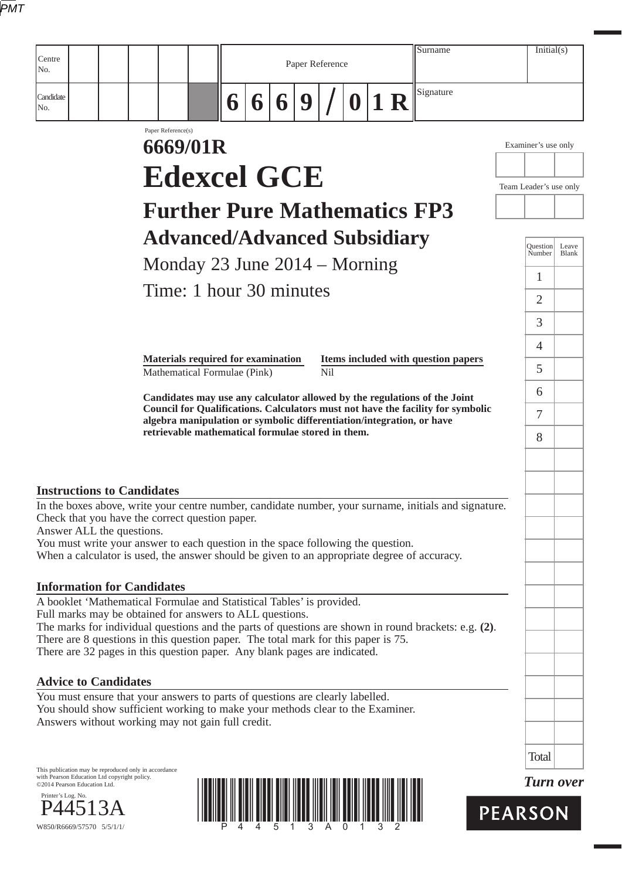|--|

| Centre<br>No.                                                                                                                                                                                                                                                                                                                          |                                                                           |        |   | Paper Reference |     |      | Surname                                                                         | Initial(s)             |       |
|----------------------------------------------------------------------------------------------------------------------------------------------------------------------------------------------------------------------------------------------------------------------------------------------------------------------------------------|---------------------------------------------------------------------------|--------|---|-----------------|-----|------|---------------------------------------------------------------------------------|------------------------|-------|
| Candidate<br>No.                                                                                                                                                                                                                                                                                                                       |                                                                           | 6<br>6 | 6 | 9               |     | 0 1R | Signature                                                                       |                        |       |
|                                                                                                                                                                                                                                                                                                                                        | Paper Reference(s)<br>6669/01R                                            |        |   |                 |     |      |                                                                                 | Examiner's use only    |       |
|                                                                                                                                                                                                                                                                                                                                        | <b>Edexcel GCE</b>                                                        |        |   |                 |     |      |                                                                                 | Team Leader's use only |       |
|                                                                                                                                                                                                                                                                                                                                        | <b>Further Pure Mathematics FP3</b>                                       |        |   |                 |     |      |                                                                                 |                        |       |
|                                                                                                                                                                                                                                                                                                                                        | <b>Advanced/Advanced Subsidiary</b>                                       |        |   |                 |     |      |                                                                                 | Question Leave         |       |
|                                                                                                                                                                                                                                                                                                                                        | Monday 23 June $2014 -$ Morning                                           |        |   |                 |     |      |                                                                                 | Number                 | Blank |
|                                                                                                                                                                                                                                                                                                                                        | Time: 1 hour 30 minutes                                                   |        |   |                 |     |      |                                                                                 | 1<br>$\overline{2}$    |       |
|                                                                                                                                                                                                                                                                                                                                        |                                                                           |        |   |                 |     |      |                                                                                 | 3                      |       |
|                                                                                                                                                                                                                                                                                                                                        |                                                                           |        |   |                 |     |      |                                                                                 | $\overline{4}$         |       |
|                                                                                                                                                                                                                                                                                                                                        | <b>Materials required for examination</b><br>Mathematical Formulae (Pink) |        |   |                 | Nil |      | Items included with question papers                                             | 5.                     |       |
|                                                                                                                                                                                                                                                                                                                                        |                                                                           |        |   |                 |     |      | Candidates may use any calculator allowed by the regulations of the Joint       | 6                      |       |
|                                                                                                                                                                                                                                                                                                                                        | algebra manipulation or symbolic differentiation/integration, or have     |        |   |                 |     |      | Council for Qualifications. Calculators must not have the facility for symbolic | 7                      |       |
|                                                                                                                                                                                                                                                                                                                                        | retrievable mathematical formulae stored in them.                         |        |   |                 |     |      |                                                                                 | 8                      |       |
|                                                                                                                                                                                                                                                                                                                                        |                                                                           |        |   |                 |     |      |                                                                                 |                        |       |
| <b>Instructions to Candidates</b><br>In the boxes above, write your centre number, candidate number, your surname, initials and signature.                                                                                                                                                                                             |                                                                           |        |   |                 |     |      |                                                                                 |                        |       |
| Check that you have the correct question paper.<br>Answer ALL the questions.                                                                                                                                                                                                                                                           |                                                                           |        |   |                 |     |      |                                                                                 |                        |       |
| You must write your answer to each question in the space following the question.<br>When a calculator is used, the answer should be given to an appropriate degree of accuracy.                                                                                                                                                        |                                                                           |        |   |                 |     |      |                                                                                 |                        |       |
| <b>Information for Candidates</b>                                                                                                                                                                                                                                                                                                      |                                                                           |        |   |                 |     |      |                                                                                 |                        |       |
| A booklet 'Mathematical Formulae and Statistical Tables' is provided.                                                                                                                                                                                                                                                                  |                                                                           |        |   |                 |     |      |                                                                                 |                        |       |
| Full marks may be obtained for answers to ALL questions.<br>The marks for individual questions and the parts of questions are shown in round brackets: e.g. $(2)$ .<br>There are 8 questions in this question paper. The total mark for this paper is 75.<br>There are 32 pages in this question paper. Any blank pages are indicated. |                                                                           |        |   |                 |     |      |                                                                                 |                        |       |
| <b>Advice to Candidates</b>                                                                                                                                                                                                                                                                                                            |                                                                           |        |   |                 |     |      |                                                                                 |                        |       |
| You must ensure that your answers to parts of questions are clearly labelled.<br>You should show sufficient working to make your methods clear to the Examiner.<br>Answers without working may not gain full credit.                                                                                                                   |                                                                           |        |   |                 |     |      |                                                                                 |                        |       |
|                                                                                                                                                                                                                                                                                                                                        |                                                                           |        |   |                 |     |      |                                                                                 | <b>Total</b>           |       |
| This publication may be reproduced only in accordance<br>with Pearson Education Ltd copyright policy.<br>©2014 Pearson Education Ltd.                                                                                                                                                                                                  |                                                                           |        |   |                 |     |      |                                                                                 | <b>Turn over</b>       |       |
| Printer's Log. No.                                                                                                                                                                                                                                                                                                                     |                                                                           |        |   |                 |     |      |                                                                                 | <b>PEARSON</b>         |       |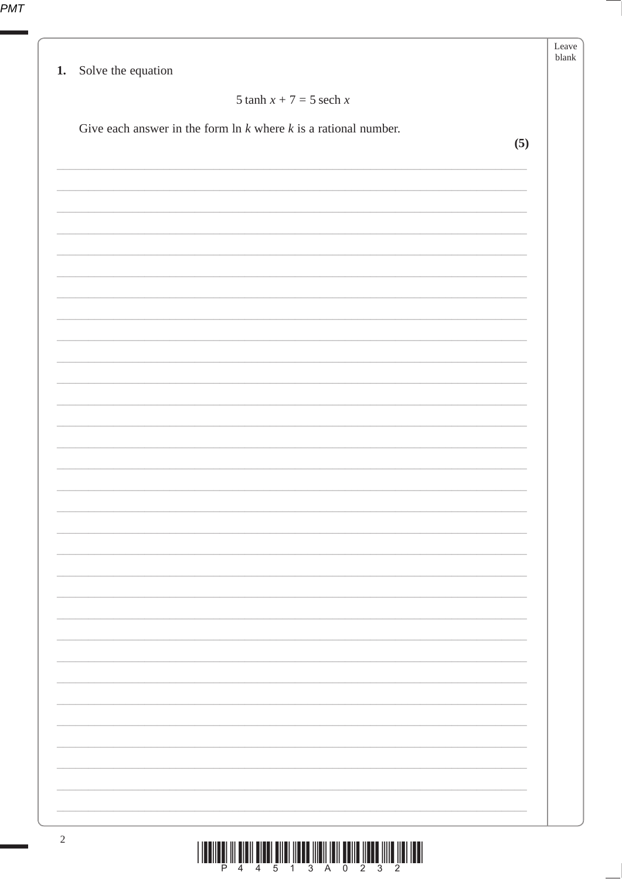|                                                                      | Leave<br>blank |
|----------------------------------------------------------------------|----------------|
| 1. Solve the equation                                                |                |
| 5 tanh $x + 7 = 5$ sech x                                            |                |
| Give each answer in the form $\ln k$ where $k$ is a rational number. |                |
|                                                                      | (5)            |
|                                                                      |                |
|                                                                      |                |
|                                                                      |                |
|                                                                      |                |
|                                                                      |                |
|                                                                      |                |
|                                                                      |                |
|                                                                      |                |
|                                                                      |                |
|                                                                      |                |
|                                                                      |                |
|                                                                      |                |
|                                                                      |                |
|                                                                      |                |
|                                                                      |                |
|                                                                      |                |
|                                                                      |                |
|                                                                      |                |
|                                                                      |                |
|                                                                      |                |
|                                                                      |                |
|                                                                      |                |
|                                                                      |                |
|                                                                      |                |
|                                                                      |                |
|                                                                      |                |
|                                                                      |                |
|                                                                      |                |
|                                                                      |                |
|                                                                      |                |

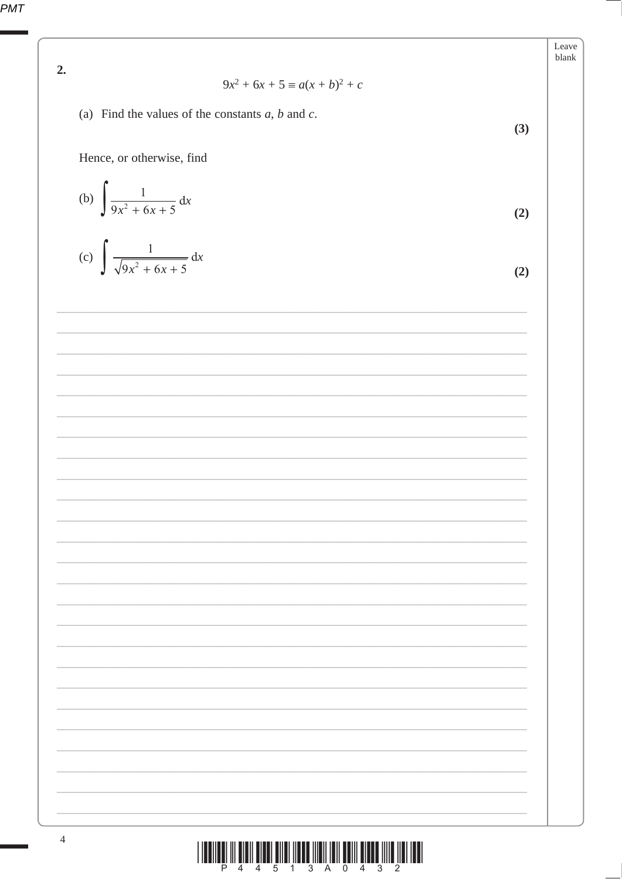PMT

2. 
$$
9x^{2} + 6x + 5 = a(x + b)^{2} + c
$$
  
\n(a) Find the values of the constants *a*, *b* and *c*.  
\nHence, or otherwise, find  
\n(b) 
$$
\int \frac{1}{9x^{2} + 6x + 5} dx
$$
\n(c) 
$$
\int \frac{1}{\sqrt{9x^{2} + 6x + 5}} dx
$$
\n(d)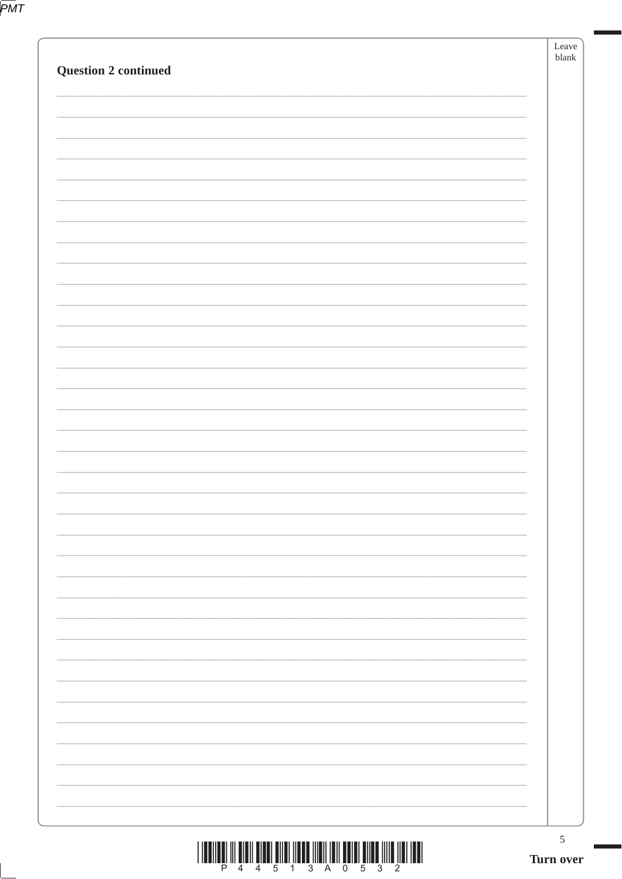|                             | $\sqrt{5}$<br>Turn over |
|-----------------------------|-------------------------|
|                             |                         |
|                             |                         |
|                             |                         |
|                             |                         |
|                             |                         |
|                             |                         |
|                             |                         |
|                             |                         |
|                             |                         |
|                             |                         |
|                             |                         |
|                             |                         |
|                             |                         |
|                             |                         |
|                             |                         |
|                             |                         |
|                             |                         |
|                             |                         |
|                             |                         |
|                             |                         |
|                             |                         |
| <b>Question 2 continued</b> | Leave<br>blank          |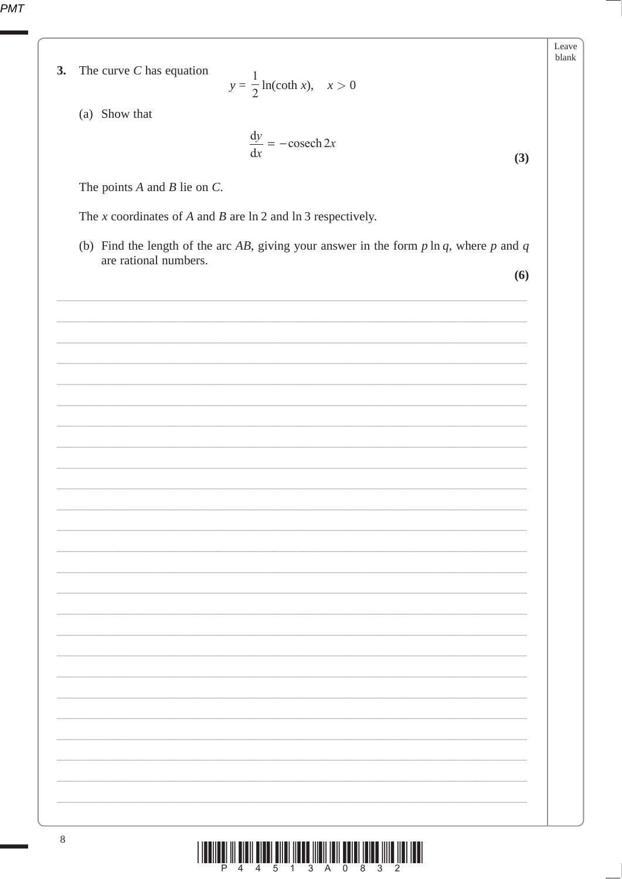PMT

|    |                                                                                                                          | Leave<br>blank |
|----|--------------------------------------------------------------------------------------------------------------------------|----------------|
| 3. | The curve $C$ has equation<br>$y = \frac{1}{2} \ln(\coth x), \quad x > 0$                                                |                |
|    |                                                                                                                          |                |
|    | (a) Show that                                                                                                            |                |
|    | $\frac{dy}{dx} = -\csch 2x$                                                                                              |                |
|    | (3)                                                                                                                      |                |
|    | The points $A$ and $B$ lie on $C$ .                                                                                      |                |
|    | The $x$ coordinates of $A$ and $B$ are $\ln 2$ and $\ln 3$ respectively.                                                 |                |
|    |                                                                                                                          |                |
|    | (b) Find the length of the arc AB, giving your answer in the form $p \ln q$ , where $p$ and $q$<br>are rational numbers. |                |
|    | (6)                                                                                                                      |                |
|    |                                                                                                                          |                |
|    |                                                                                                                          |                |
|    |                                                                                                                          |                |
|    |                                                                                                                          |                |
|    |                                                                                                                          |                |
|    |                                                                                                                          |                |
|    |                                                                                                                          |                |
|    |                                                                                                                          |                |
|    |                                                                                                                          |                |
|    |                                                                                                                          |                |
|    |                                                                                                                          |                |
|    |                                                                                                                          |                |
|    |                                                                                                                          |                |
|    |                                                                                                                          |                |
|    |                                                                                                                          |                |
|    |                                                                                                                          |                |
|    |                                                                                                                          |                |
|    |                                                                                                                          |                |
|    |                                                                                                                          |                |
|    |                                                                                                                          |                |
|    |                                                                                                                          |                |
|    |                                                                                                                          |                |
|    |                                                                                                                          |                |
|    |                                                                                                                          |                |
|    |                                                                                                                          |                |
|    |                                                                                                                          |                |
|    |                                                                                                                          |                |
|    |                                                                                                                          |                |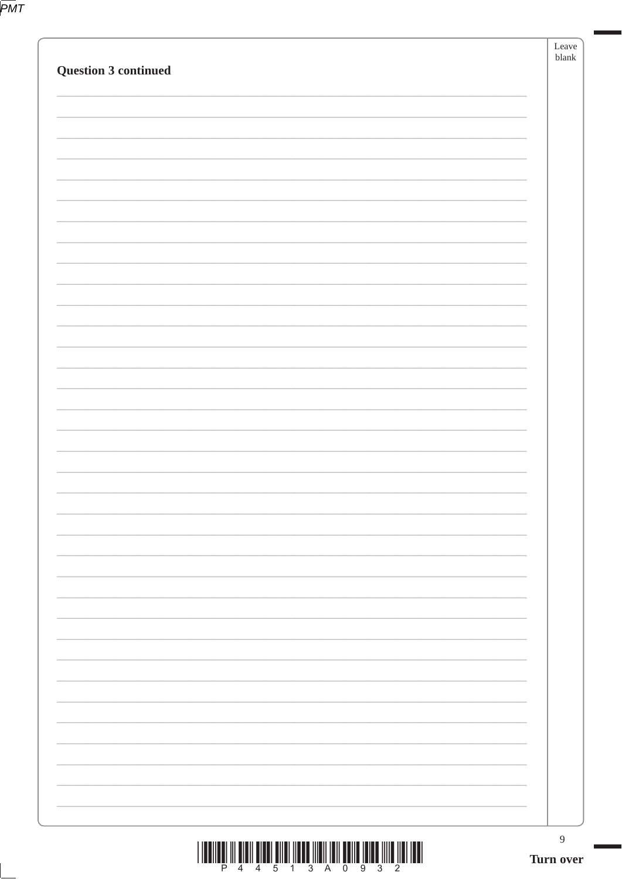|                      | $\boldsymbol{9}$<br>Turn over |  |
|----------------------|-------------------------------|--|
|                      |                               |  |
|                      |                               |  |
|                      |                               |  |
|                      |                               |  |
|                      |                               |  |
|                      |                               |  |
|                      |                               |  |
|                      |                               |  |
|                      |                               |  |
|                      |                               |  |
|                      |                               |  |
|                      |                               |  |
|                      |                               |  |
|                      |                               |  |
|                      |                               |  |
|                      |                               |  |
|                      |                               |  |
| Question 3 continued | Leave<br>blank                |  |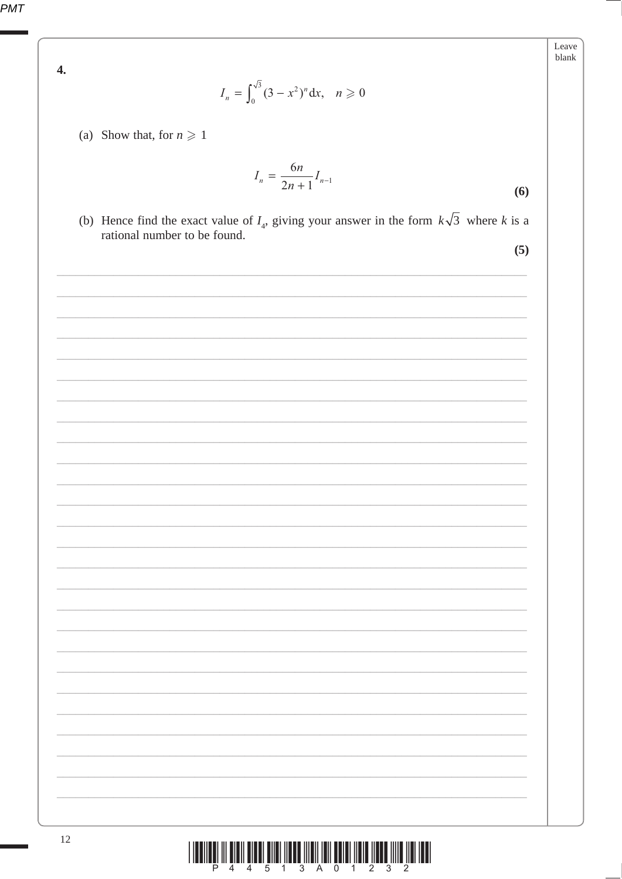PMT

 $\overline{4}$ .

$$
I_n = \int_0^{\sqrt{3}} (3 - x^2)^n dx, \quad n \geq 0
$$

(a) Show that, for  $n \geq 1$ 

$$
I_n = \frac{6n}{2n+1} I_{n-1}
$$
 (6)

(b) Hence find the exact value of  $I_4$ , giving your answer in the form  $k\sqrt{3}$  where k is a rational number to be found.

 $(5)$ 

Leave blank

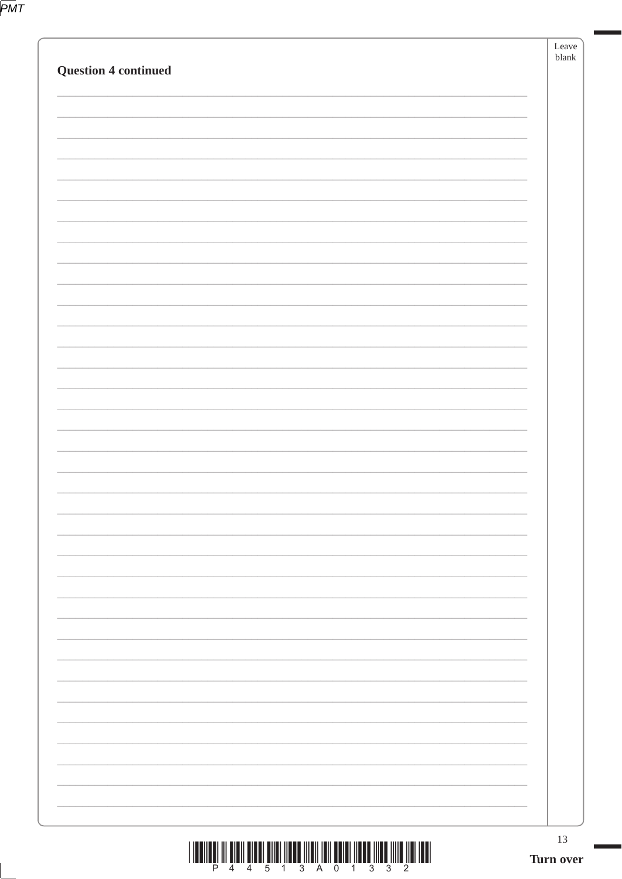|--|

|                             | 13<br>Turn over |
|-----------------------------|-----------------|
|                             |                 |
|                             |                 |
|                             |                 |
|                             |                 |
|                             |                 |
|                             |                 |
|                             |                 |
|                             |                 |
|                             |                 |
|                             |                 |
|                             |                 |
|                             |                 |
|                             |                 |
| <b>Question 4 continued</b> | blank           |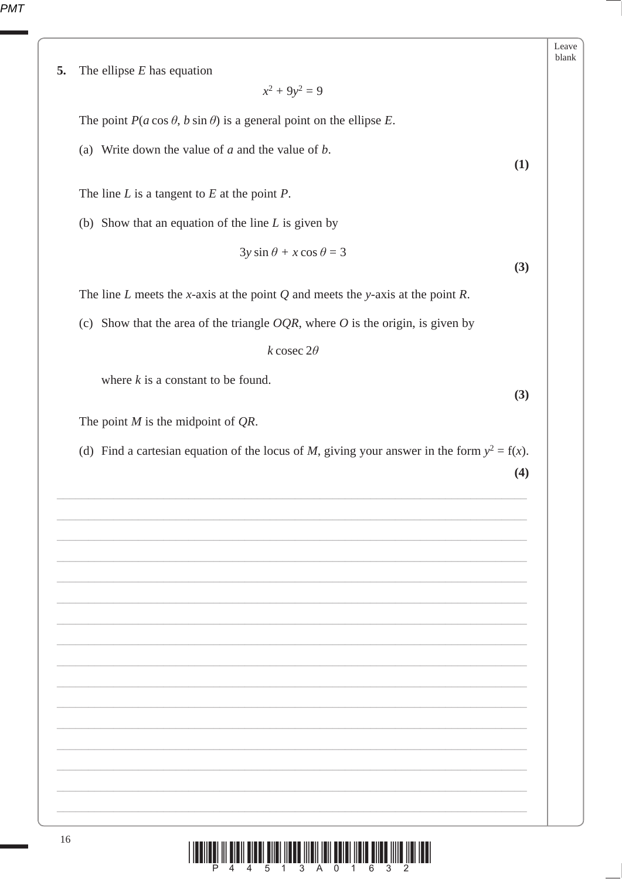| The ellipse $E$ has equation                                                                                          |
|-----------------------------------------------------------------------------------------------------------------------|
| $x^2 + 9y^2 = 9$                                                                                                      |
| The point $P(a \cos \theta, b \sin \theta)$ is a general point on the ellipse E.                                      |
| (a) Write down the value of $a$ and the value of $b$ .<br>(1)                                                         |
| The line $L$ is a tangent to $E$ at the point $P$ .                                                                   |
| (b) Show that an equation of the line $L$ is given by                                                                 |
| $3y \sin \theta + x \cos \theta = 3$<br>(3)                                                                           |
| The line $L$ meets the x-axis at the point $Q$ and meets the y-axis at the point $R$ .                                |
| (c) Show that the area of the triangle $OQR$ , where O is the origin, is given by                                     |
| k cosec $2\theta$                                                                                                     |
| where $k$ is a constant to be found.<br>(3)                                                                           |
| The point $M$ is the midpoint of $QR$ .                                                                               |
| (d) Find a cartesian equation of the locus of M, giving your answer in the form $y^2 = f(x)$ .<br>(4)                 |
|                                                                                                                       |
|                                                                                                                       |
|                                                                                                                       |
|                                                                                                                       |
|                                                                                                                       |
|                                                                                                                       |
|                                                                                                                       |
|                                                                                                                       |
|                                                                                                                       |
|                                                                                                                       |
| <u> III BILAN ILAH ILAH BILAN MENERIKAN DI BILAN DI BILAN DI BILAN DI BILAN DI BILAN DI BILAN DI BILAN DI BILAN D</u> |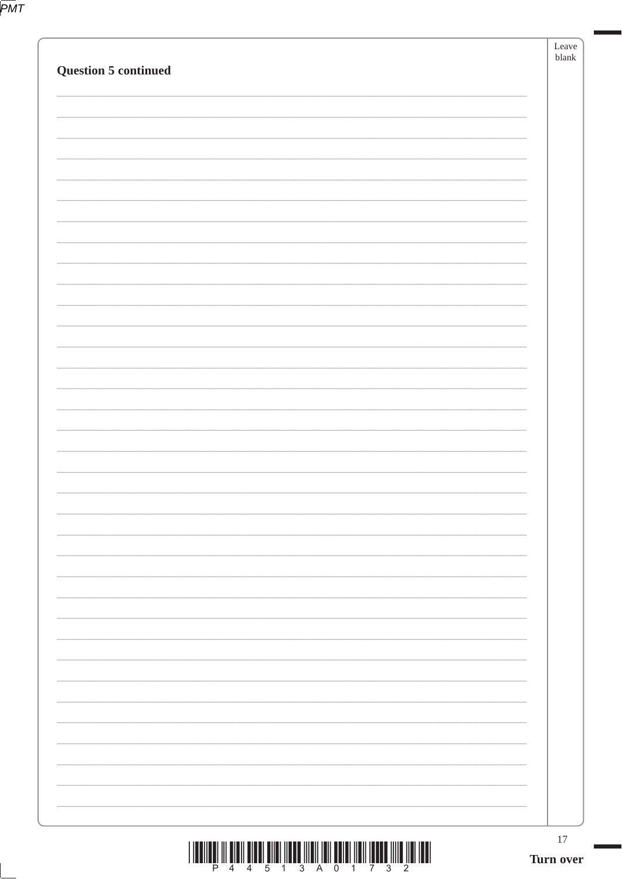|--|

| 17<br>Turn over |
|-----------------|
|                 |
|                 |
|                 |
|                 |
|                 |
|                 |
|                 |
|                 |
|                 |
|                 |
|                 |
|                 |
|                 |
|                 |
|                 |
|                 |
|                 |
|                 |
|                 |
|                 |
|                 |
|                 |
|                 |
|                 |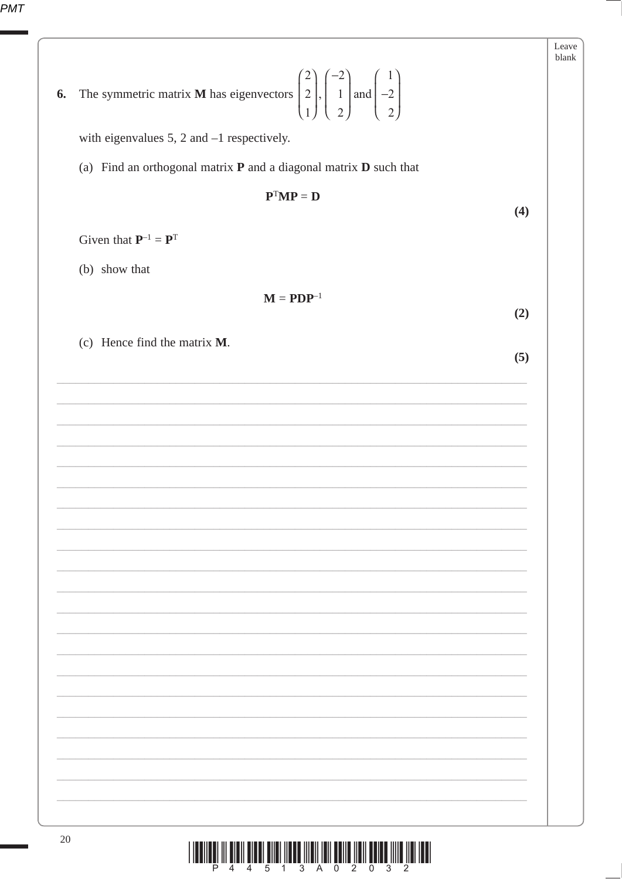| 6. | The symmetric matrix <b>M</b> has eigenvectors $\begin{pmatrix} 2 \\ 2 \\ 1 \end{pmatrix}, \begin{pmatrix} -2 \\ 1 \\ 2 \end{pmatrix}$ and $\begin{pmatrix} 1 \\ -2 \\ 2 \end{pmatrix}$ | Leave<br>blank |
|----|-----------------------------------------------------------------------------------------------------------------------------------------------------------------------------------------|----------------|
|    | with eigenvalues 5, 2 and $-1$ respectively.                                                                                                                                            |                |
|    | (a) Find an orthogonal matrix $P$ and a diagonal matrix $D$ such that                                                                                                                   |                |
|    | $\mathbf{P}^\text{T}\mathbf{M}\mathbf{P}=\mathbf{D}$<br>(4)                                                                                                                             |                |
|    | Given that $P^{-1} = P^{T}$                                                                                                                                                             |                |
|    | (b) show that                                                                                                                                                                           |                |
|    | $M = PDP^{-1}$<br>(2)                                                                                                                                                                   |                |
|    | (c) Hence find the matrix M.<br>(5)                                                                                                                                                     |                |
|    |                                                                                                                                                                                         |                |
|    |                                                                                                                                                                                         |                |
|    |                                                                                                                                                                                         |                |
|    |                                                                                                                                                                                         |                |
|    |                                                                                                                                                                                         |                |
|    |                                                                                                                                                                                         |                |
|    |                                                                                                                                                                                         |                |
|    |                                                                                                                                                                                         |                |
|    |                                                                                                                                                                                         |                |
|    |                                                                                                                                                                                         |                |
|    |                                                                                                                                                                                         |                |
|    |                                                                                                                                                                                         |                |
|    |                                                                                                                                                                                         |                |
|    |                                                                                                                                                                                         |                |
|    |                                                                                                                                                                                         |                |
|    |                                                                                                                                                                                         |                |
|    |                                                                                                                                                                                         |                |

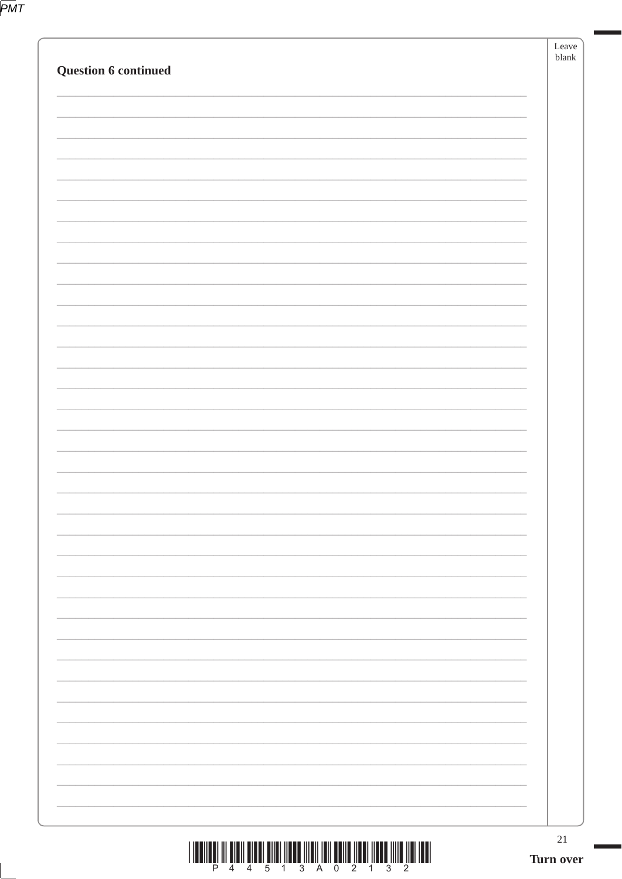|--|

| $21\,$<br>Turn over |
|---------------------|
|                     |
|                     |
|                     |
|                     |
|                     |
|                     |
|                     |
|                     |
|                     |
|                     |
|                     |
|                     |
|                     |
|                     |
|                     |
|                     |
|                     |
|                     |
|                     |
|                     |
|                     |
|                     |
|                     |
|                     |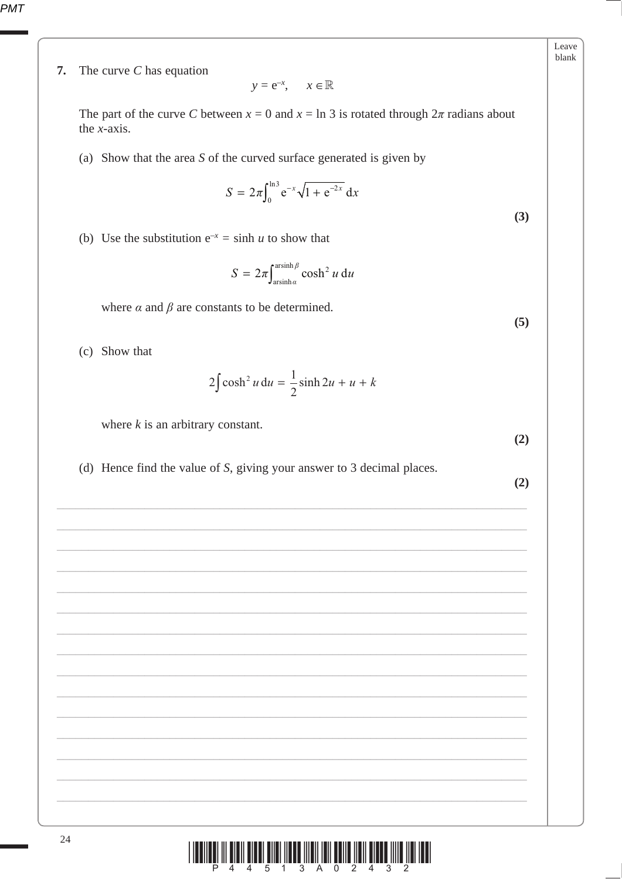7. The curve  $C$  has equation

$$
y = e^{-x}, \quad x \in \mathbb{R}
$$

The part of the curve C between  $x = 0$  and  $x = \ln 3$  is rotated through  $2\pi$  radians about the  $x$ -axis.

(a) Show that the area  $S$  of the curved surface generated is given by

$$
S = 2\pi \int_0^{\ln 3} e^{-x} \sqrt{1 + e^{-2x}} dx
$$

(b) Use the substitution  $e^{-x} = \sinh u$  to show that

$$
S = 2\pi \int_{\arcsinh \alpha}^{\operatorname{arsinh} \beta} \cosh^2 u \, \mathrm{d}u
$$

where  $\alpha$  and  $\beta$  are constants to be determined.

(c) Show that

$$
2\int \cosh^2 u \, \mathrm{d}u = \frac{1}{2}\sinh 2u + u + k
$$

where  $k$  is an arbitrary constant.

 $(2)$ 

(d) Hence find the value of  $S$ , giving your answer to  $3$  decimal places.

 $(2)$ 

24

Leave blank

 $(5)$ 

 $(3)$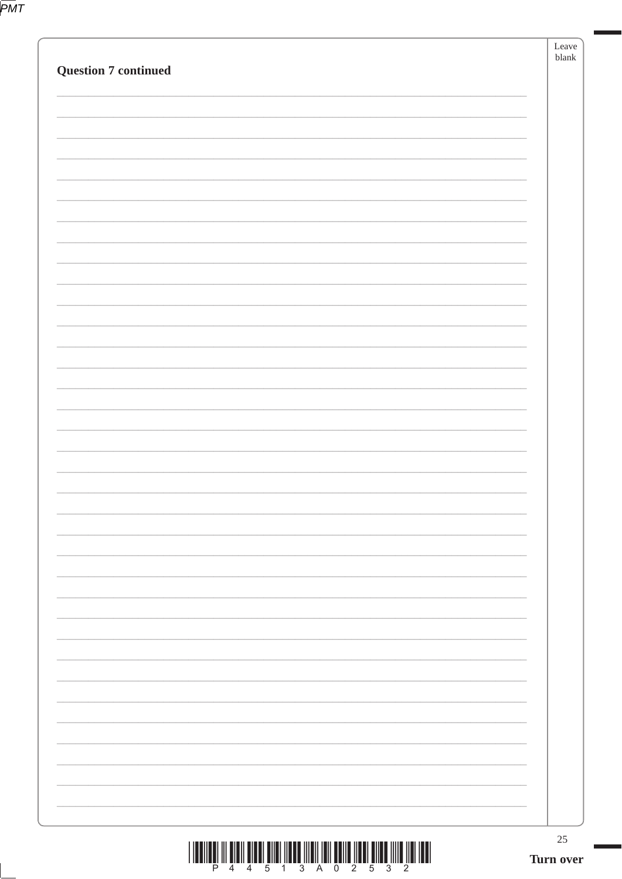|--|

| <b>Question 7 continued</b>            | Leave<br>blank |
|----------------------------------------|----------------|
|                                        |                |
|                                        |                |
|                                        |                |
|                                        |                |
|                                        |                |
|                                        |                |
|                                        |                |
|                                        |                |
|                                        |                |
|                                        |                |
|                                        |                |
|                                        |                |
|                                        |                |
|                                        |                |
|                                        |                |
|                                        |                |
|                                        |                |
|                                        |                |
| <u> MED TIM ÖNEMENLE MED MAN MED T</u> | $25\,$         |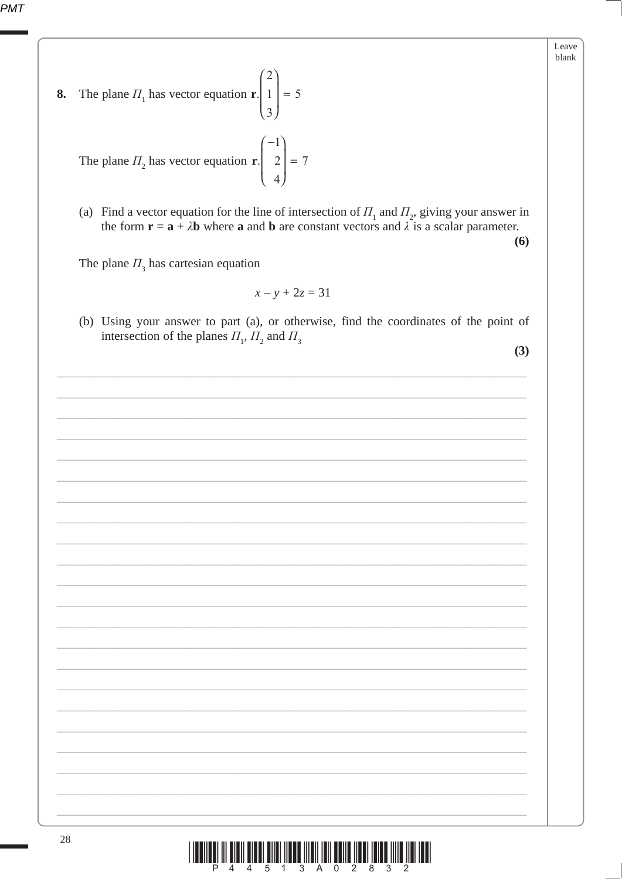The plane  $\Pi_1$  has vector equation **r**.  $\left| 1 \right| = 5$ 8.  $\overline{3}$ 

The plane  $\Pi_2$  has vector equation **r**.  $\begin{pmatrix} 2 \\ 4 \end{pmatrix} = 7$ 

(a) Find a vector equation for the line of intersection of  $\Pi_1$  and  $\Pi_2$ , giving your answer in the form  $\mathbf{r} = \mathbf{a} + \lambda \mathbf{b}$  where **a** and **b** are constant vectors and  $\lambda$  is a scalar parameter.  $(6)$ 

The plane  $\Pi$ <sub>3</sub> has cartesian equation

$$
x - y + 2z = 31
$$

(b) Using your answer to part (a), or otherwise, find the coordinates of the point of intersection of the planes  $\Pi_1$ ,  $\Pi_2$  and  $\Pi_3$ 

 $(3)$ 

Leave blank